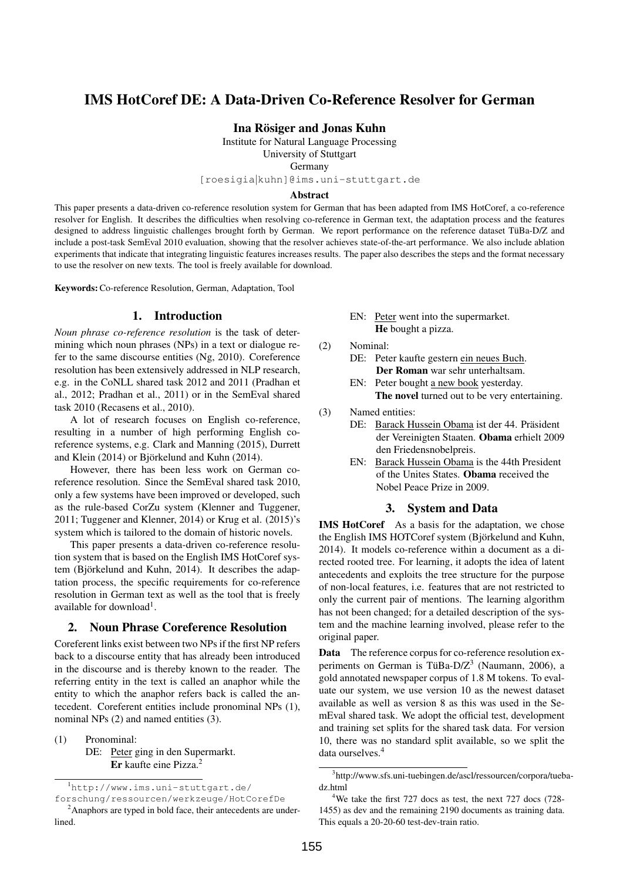# IMS HotCoref DE: A Data-Driven Co-Reference Resolver for German

Ina Rösiger and Jonas Kuhn

Institute for Natural Language Processing

University of Stuttgart

Germany

[roesigia|kuhn]@ims.uni-stuttgart.de

#### Abstract

This paper presents a data-driven co-reference resolution system for German that has been adapted from IMS HotCoref, a co-reference resolver for English. It describes the difficulties when resolving co-reference in German text, the adaptation process and the features designed to address linguistic challenges brought forth by German. We report performance on the reference dataset TüBa-D/Z and include a post-task SemEval 2010 evaluation, showing that the resolver achieves state-of-the-art performance. We also include ablation experiments that indicate that integrating linguistic features increases results. The paper also describes the steps and the format necessary to use the resolver on new texts. The tool is freely available for download.

Keywords:Co-reference Resolution, German, Adaptation, Tool

# 1. Introduction

*Noun phrase co-reference resolution* is the task of determining which noun phrases (NPs) in a text or dialogue refer to the same discourse entities (Ng, 2010). Coreference resolution has been extensively addressed in NLP research, e.g. in the CoNLL shared task 2012 and 2011 (Pradhan et al., 2012; Pradhan et al., 2011) or in the SemEval shared task 2010 (Recasens et al., 2010).

A lot of research focuses on English co-reference, resulting in a number of high performing English coreference systems, e.g. Clark and Manning (2015), Durrett and Klein  $(2014)$  or Björkelund and Kuhn  $(2014)$ .

However, there has been less work on German coreference resolution. Since the SemEval shared task 2010, only a few systems have been improved or developed, such as the rule-based CorZu system (Klenner and Tuggener, 2011; Tuggener and Klenner, 2014) or Krug et al. (2015)'s system which is tailored to the domain of historic novels.

This paper presents a data-driven co-reference resolution system that is based on the English IMS HotCoref system (Björkelund and Kuhn, 2014). It describes the adaptation process, the specific requirements for co-reference resolution in German text as well as the tool that is freely available for download<sup>1</sup>.

#### 2. Noun Phrase Coreference Resolution

Coreferent links exist between two NPs if the first NP refers back to a discourse entity that has already been introduced in the discourse and is thereby known to the reader. The referring entity in the text is called an anaphor while the entity to which the anaphor refers back is called the antecedent. Coreferent entities include pronominal NPs (1), nominal NPs (2) and named entities (3).

(1) Pronominal:

#### DE: Peter ging in den Supermarkt. Er kaufte eine Pizza.<sup>2</sup>

<sup>1</sup>http://www.ims.uni-stuttgart.de/ forschung/ressourcen/werkzeuge/HotCorefDe

- EN: Peter went into the supermarket. He bought a pizza.
- (2) Nominal:
	- DE: Peter kaufte gestern ein neues Buch. Der Roman war sehr unterhaltsam.
	- EN: Peter bought a new book yesterday. The novel turned out to be very entertaining.
- (3) Named entities:
	- DE: Barack Hussein Obama ist der 44. Präsident der Vereinigten Staaten. Obama erhielt 2009 den Friedensnobelpreis.
		- EN: Barack Hussein Obama is the 44th President of the Unites States. Obama received the Nobel Peace Prize in 2009.

#### 3. System and Data

IMS HotCoref As a basis for the adaptation, we chose the English IMS HOTCoref system (Björkelund and Kuhn, 2014). It models co-reference within a document as a directed rooted tree. For learning, it adopts the idea of latent antecedents and exploits the tree structure for the purpose of non-local features, i.e. features that are not restricted to only the current pair of mentions. The learning algorithm has not been changed; for a detailed description of the system and the machine learning involved, please refer to the original paper.

Data The reference corpus for co-reference resolution experiments on German is TüBa-D/Z<sup>3</sup> (Naumann, 2006), a gold annotated newspaper corpus of 1.8 M tokens. To evaluate our system, we use version 10 as the newest dataset available as well as version 8 as this was used in the SemEval shared task. We adopt the official test, development and training set splits for the shared task data. For version 10, there was no standard split available, so we split the data ourselves.<sup>4</sup>

<sup>&</sup>lt;sup>2</sup>Anaphors are typed in bold face, their antecedents are underlined.

<sup>3</sup> http://www.sfs.uni-tuebingen.de/ascl/ressourcen/corpora/tuebadz.html

<sup>&</sup>lt;sup>4</sup>We take the first 727 docs as test, the next 727 docs (728-1455) as dev and the remaining 2190 documents as training data. This equals a 20-20-60 test-dev-train ratio.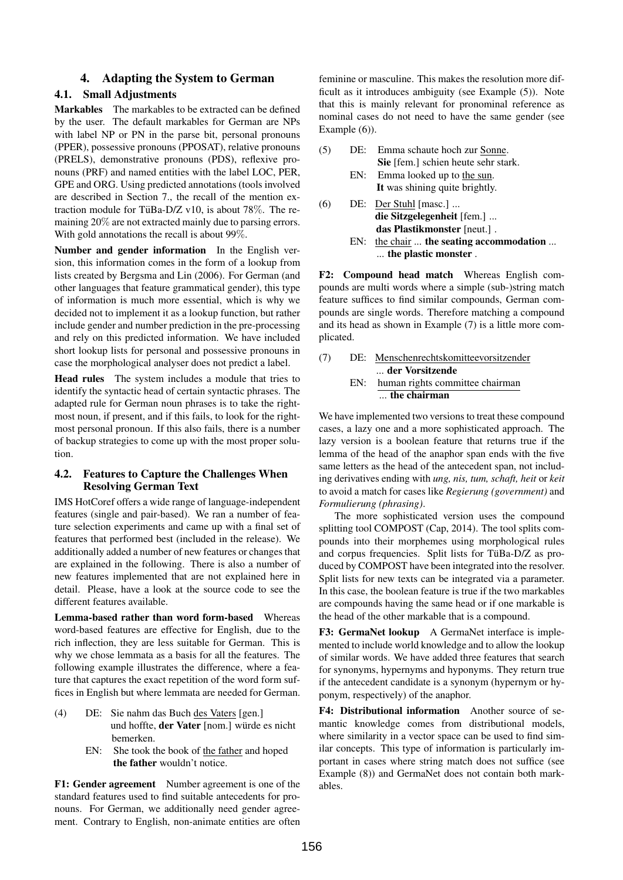## 4. Adapting the System to German

## 4.1. Small Adjustments

Markables The markables to be extracted can be defined by the user. The default markables for German are NPs with label NP or PN in the parse bit, personal pronouns (PPER), possessive pronouns (PPOSAT), relative pronouns (PRELS), demonstrative pronouns (PDS), reflexive pronouns (PRF) and named entities with the label LOC, PER, GPE and ORG. Using predicted annotations (tools involved are described in Section 7., the recall of the mention extraction module for TüBa-D/Z v10, is about 78%. The remaining 20% are not extracted mainly due to parsing errors. With gold annotations the recall is about 99%.

Number and gender information In the English version, this information comes in the form of a lookup from lists created by Bergsma and Lin (2006). For German (and other languages that feature grammatical gender), this type of information is much more essential, which is why we decided not to implement it as a lookup function, but rather include gender and number prediction in the pre-processing and rely on this predicted information. We have included short lookup lists for personal and possessive pronouns in case the morphological analyser does not predict a label.

Head rules The system includes a module that tries to identify the syntactic head of certain syntactic phrases. The adapted rule for German noun phrases is to take the rightmost noun, if present, and if this fails, to look for the rightmost personal pronoun. If this also fails, there is a number of backup strategies to come up with the most proper solution.

#### 4.2. Features to Capture the Challenges When Resolving German Text

IMS HotCoref offers a wide range of language-independent features (single and pair-based). We ran a number of feature selection experiments and came up with a final set of features that performed best (included in the release). We additionally added a number of new features or changes that are explained in the following. There is also a number of new features implemented that are not explained here in detail. Please, have a look at the source code to see the different features available.

Lemma-based rather than word form-based Whereas word-based features are effective for English, due to the rich inflection, they are less suitable for German. This is why we chose lemmata as a basis for all the features. The following example illustrates the difference, where a feature that captures the exact repetition of the word form suffices in English but where lemmata are needed for German.

- (4) DE: Sie nahm das Buch des Vaters [gen.] und hoffte, der Vater [nom.] würde es nicht bemerken.
	- EN: She took the book of the father and hoped the father wouldn't notice.

F1: Gender agreement Number agreement is one of the standard features used to find suitable antecedents for pronouns. For German, we additionally need gender agreement. Contrary to English, non-animate entities are often feminine or masculine. This makes the resolution more difficult as it introduces ambiguity (see Example (5)). Note that this is mainly relevant for pronominal reference as nominal cases do not need to have the same gender (see Example  $(6)$ ).

- (5) DE: Emma schaute hoch zur Sonne. Sie [fem.] schien heute sehr stark.
	- EN: Emma looked up to the sun. It was shining quite brightly.
- (6) DE: Der Stuhl [masc.] ... die Sitzgelegenheit [fem.] ... das Plastikmonster [neut.] .
	- EN: the chair ... the seating accommodation ... ... the plastic monster .

F2: Compound head match Whereas English compounds are multi words where a simple (sub-)string match feature suffices to find similar compounds, German compounds are single words. Therefore matching a compound and its head as shown in Example (7) is a little more complicated.

(7) DE: Menschenrechtskomitteevorsitzender ... der Vorsitzende EN: human rights committee chairman ... the chairman

We have implemented two versions to treat these compound cases, a lazy one and a more sophisticated approach. The lazy version is a boolean feature that returns true if the lemma of the head of the anaphor span ends with the five same letters as the head of the antecedent span, not including derivatives ending with *ung, nis, tum, schaft, heit* or *keit* to avoid a match for cases like *Regierung (government)* and *Formulierung (phrasing)*.

The more sophisticated version uses the compound splitting tool COMPOST (Cap, 2014). The tool splits compounds into their morphemes using morphological rules and corpus frequencies. Split lists for TüBa-D/Z as produced by COMPOST have been integrated into the resolver. Split lists for new texts can be integrated via a parameter. In this case, the boolean feature is true if the two markables are compounds having the same head or if one markable is the head of the other markable that is a compound.

F3: GermaNet lookup A GermaNet interface is implemented to include world knowledge and to allow the lookup of similar words. We have added three features that search for synonyms, hypernyms and hyponyms. They return true if the antecedent candidate is a synonym (hypernym or hyponym, respectively) of the anaphor.

F4: Distributional information Another source of semantic knowledge comes from distributional models, where similarity in a vector space can be used to find similar concepts. This type of information is particularly important in cases where string match does not suffice (see Example (8)) and GermaNet does not contain both markables.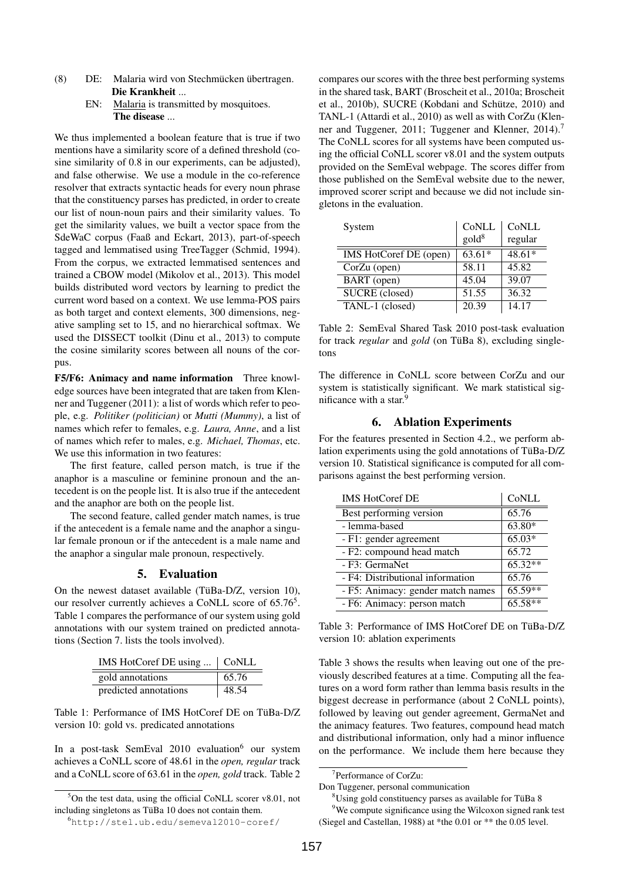- (8) DE: Malaria wird von Stechmücken übertragen. Die Krankheit ...
	- EN: Malaria is transmitted by mosquitoes. The disease ...

We thus implemented a boolean feature that is true if two mentions have a similarity score of a defined threshold (cosine similarity of 0.8 in our experiments, can be adjusted), and false otherwise. We use a module in the co-reference resolver that extracts syntactic heads for every noun phrase that the constituency parses has predicted, in order to create our list of noun-noun pairs and their similarity values. To get the similarity values, we built a vector space from the SdeWaC corpus (Faaß and Eckart, 2013), part-of-speech tagged and lemmatised using TreeTagger (Schmid, 1994). From the corpus, we extracted lemmatised sentences and trained a CBOW model (Mikolov et al., 2013). This model builds distributed word vectors by learning to predict the current word based on a context. We use lemma-POS pairs as both target and context elements, 300 dimensions, negative sampling set to 15, and no hierarchical softmax. We used the DISSECT toolkit (Dinu et al., 2013) to compute the cosine similarity scores between all nouns of the corpus.

F5/F6: Animacy and name information Three knowledge sources have been integrated that are taken from Klenner and Tuggener (2011): a list of words which refer to people, e.g. *Politiker (politician)* or *Mutti (Mummy)*, a list of names which refer to females, e.g. *Laura, Anne*, and a list of names which refer to males, e.g. *Michael, Thomas*, etc. We use this information in two features:

The first feature, called person match, is true if the anaphor is a masculine or feminine pronoun and the antecedent is on the people list. It is also true if the antecedent and the anaphor are both on the people list.

The second feature, called gender match names, is true if the antecedent is a female name and the anaphor a singular female pronoun or if the antecedent is a male name and the anaphor a singular male pronoun, respectively.

#### 5. Evaluation

On the newest dataset available (TüBa-D/Z, version 10), our resolver currently achieves a CoNLL score of  $65.76<sup>5</sup>$ . Table 1 compares the performance of our system using gold annotations with our system trained on predicted annotations (Section 7. lists the tools involved).

| IMS HotCoref DE using    CoNLL |       |
|--------------------------------|-------|
| gold annotations               | 65.76 |
| predicted annotations          | 48.54 |

Table 1: Performance of IMS HotCoref DE on TüBa-D/Z version 10: gold vs. predicated annotations

In a post-task SemEval  $2010$  evaluation<sup>6</sup> our system achieves a CoNLL score of 48.61 in the *open, regular* track and a CoNLL score of 63.61 in the *open, gold* track. Table 2

 $5$ On the test data, using the official CoNLL scorer v8.01, not including singletons as TüBa 10 does not contain them.

compares our scores with the three best performing systems in the shared task, BART (Broscheit et al., 2010a; Broscheit et al., 2010b), SUCRE (Kobdani and Schütze, 2010) and TANL-1 (Attardi et al., 2010) as well as with CorZu (Klenner and Tuggener, 2011; Tuggener and Klenner, 2014).<sup>7</sup> The CoNLL scores for all systems have been computed using the official CoNLL scorer v8.01 and the system outputs provided on the SemEval webpage. The scores differ from those published on the SemEval website due to the newer, improved scorer script and because we did not include singletons in the evaluation.

| System                 | CoNLL           | CoNLL   |
|------------------------|-----------------|---------|
|                        | $\text{gold}^8$ | regular |
| IMS HotCoref DE (open) | 63.61*          | 48.61*  |
| CorZu (open)           | 58.11           | 45.82   |
| BART (open)            | 45.04           | 39.07   |
| SUCRE (closed)         | 51.55           | 36.32   |
| TANL-1 (closed)        | 20.39           | 14.17   |

Table 2: SemEval Shared Task 2010 post-task evaluation for track *regular* and *gold* (on TüBa 8), excluding singletons

The difference in CoNLL score between CorZu and our system is statistically significant. We mark statistical significance with a star.<sup>9</sup>

## 6. Ablation Experiments

For the features presented in Section 4.2., we perform ablation experiments using the gold annotations of TüBa-D/Z version 10. Statistical significance is computed for all comparisons against the best performing version.

| <b>IMS HotCoref DE</b>            | CoNLL     |
|-----------------------------------|-----------|
| Best performing version           | 65.76     |
| - lemma-based                     | 63.80*    |
| - F1: gender agreement            | $65.03*$  |
| - F2: compound head match         | 65.72     |
| - F3: GermaNet                    | $65.32**$ |
| - F4: Distributional information  | 65.76     |
| - F5: Animacy: gender match names | $65.59**$ |
| - F6: Animacy: person match       | $65.58**$ |

Table 3: Performance of IMS HotCoref DE on TüBa-D/Z version 10: ablation experiments

Table 3 shows the results when leaving out one of the previously described features at a time. Computing all the features on a word form rather than lemma basis results in the biggest decrease in performance (about 2 CoNLL points), followed by leaving out gender agreement, GermaNet and the animacy features. Two features, compound head match and distributional information, only had a minor influence on the performance. We include them here because they

7 Performance of CorZu:

 $8$ Using gold constituency parses as available for TüBa 8 <sup>9</sup>We compute significance using the Wilcoxon signed rank test

(Siegel and Castellan, 1988) at \*the 0.01 or \*\* the 0.05 level.

<sup>6</sup>http://stel.ub.edu/semeval2010-coref/

Don Tuggener, personal communication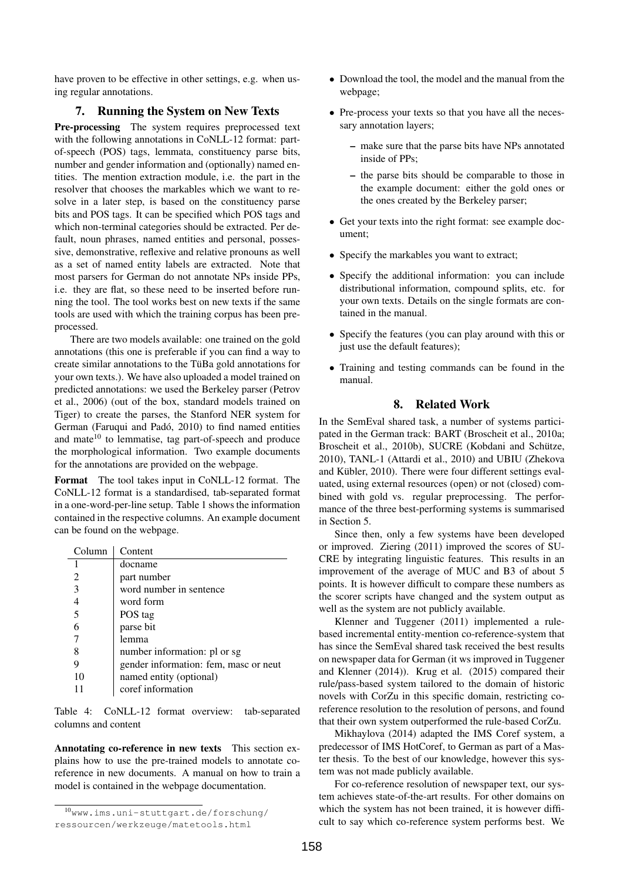have proven to be effective in other settings, e.g. when using regular annotations.

### 7. Running the System on New Texts

Pre-processing The system requires preprocessed text with the following annotations in CoNLL-12 format: partof-speech (POS) tags, lemmata, constituency parse bits, number and gender information and (optionally) named entities. The mention extraction module, i.e. the part in the resolver that chooses the markables which we want to resolve in a later step, is based on the constituency parse bits and POS tags. It can be specified which POS tags and which non-terminal categories should be extracted. Per default, noun phrases, named entities and personal, possessive, demonstrative, reflexive and relative pronouns as well as a set of named entity labels are extracted. Note that most parsers for German do not annotate NPs inside PPs, i.e. they are flat, so these need to be inserted before running the tool. The tool works best on new texts if the same tools are used with which the training corpus has been preprocessed.

There are two models available: one trained on the gold annotations (this one is preferable if you can find a way to create similar annotations to the TüBa gold annotations for your own texts.). We have also uploaded a model trained on predicted annotations: we used the Berkeley parser (Petrov et al., 2006) (out of the box, standard models trained on Tiger) to create the parses, the Stanford NER system for German (Faruqui and Padó, 2010) to find named entities and mate<sup>10</sup> to lemmatise, tag part-of-speech and produce the morphological information. Two example documents for the annotations are provided on the webpage.

Format The tool takes input in CoNLL-12 format. The CoNLL-12 format is a standardised, tab-separated format in a one-word-per-line setup. Table 1 shows the information contained in the respective columns. An example document can be found on the webpage.

| Column | Content                               |
|--------|---------------------------------------|
|        | docname                               |
| 2      | part number                           |
| 3      | word number in sentence               |
|        | word form                             |
| 5      | POS tag                               |
|        | parse bit                             |
|        | lemma                                 |
|        | number information: pl or sg          |
|        | gender information: fem, masc or neut |
| 10     | named entity (optional)               |
|        | coref information                     |

Table 4: CoNLL-12 format overview: tab-separated columns and content

Annotating co-reference in new texts This section explains how to use the pre-trained models to annotate coreference in new documents. A manual on how to train a model is contained in the webpage documentation.

- Download the tool, the model and the manual from the webpage;
- Pre-process your texts so that you have all the necessary annotation layers;
	- make sure that the parse bits have NPs annotated inside of PPs;
	- the parse bits should be comparable to those in the example document: either the gold ones or the ones created by the Berkeley parser;
- Get your texts into the right format: see example document;
- Specify the markables you want to extract;
- Specify the additional information: you can include distributional information, compound splits, etc. for your own texts. Details on the single formats are contained in the manual.
- Specify the features (you can play around with this or just use the default features);
- Training and testing commands can be found in the manual.

# 8. Related Work

In the SemEval shared task, a number of systems participated in the German track: BART (Broscheit et al., 2010a; Broscheit et al., 2010b), SUCRE (Kobdani and Schütze, 2010), TANL-1 (Attardi et al., 2010) and UBIU (Zhekova and Kübler, 2010). There were four different settings evaluated, using external resources (open) or not (closed) combined with gold vs. regular preprocessing. The performance of the three best-performing systems is summarised in Section 5.

Since then, only a few systems have been developed or improved. Ziering (2011) improved the scores of SU-CRE by integrating linguistic features. This results in an improvement of the average of MUC and B3 of about 5 points. It is however difficult to compare these numbers as the scorer scripts have changed and the system output as well as the system are not publicly available.

Klenner and Tuggener (2011) implemented a rulebased incremental entity-mention co-reference-system that has since the SemEval shared task received the best results on newspaper data for German (it ws improved in Tuggener and Klenner (2014)). Krug et al. (2015) compared their rule/pass-based system tailored to the domain of historic novels with CorZu in this specific domain, restricting coreference resolution to the resolution of persons, and found that their own system outperformed the rule-based CorZu.

Mikhaylova (2014) adapted the IMS Coref system, a predecessor of IMS HotCoref, to German as part of a Master thesis. To the best of our knowledge, however this system was not made publicly available.

For co-reference resolution of newspaper text, our system achieves state-of-the-art results. For other domains on which the system has not been trained, it is however difficult to say which co-reference system performs best. We

<sup>10</sup>www.ims.uni-stuttgart.de/forschung/ ressourcen/werkzeuge/matetools.html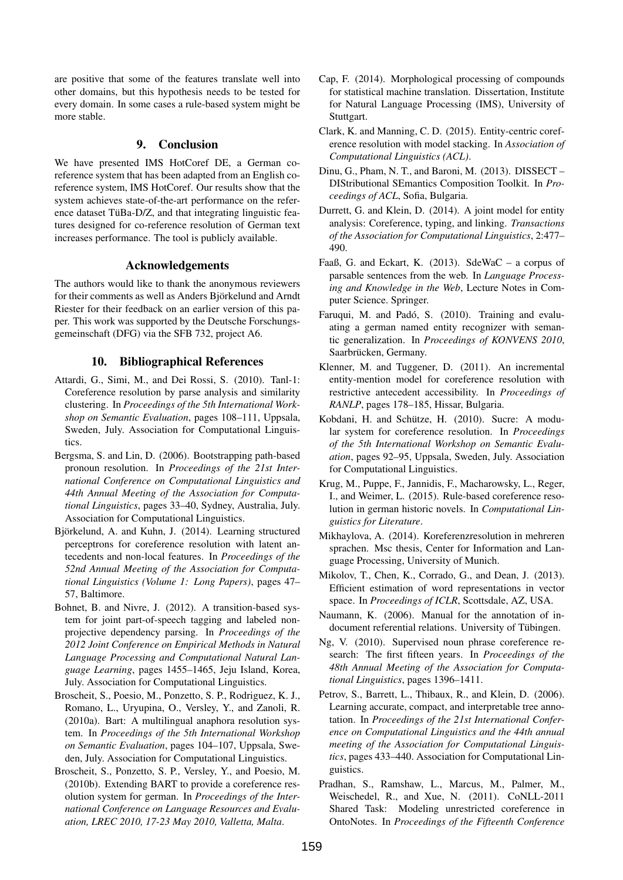are positive that some of the features translate well into other domains, but this hypothesis needs to be tested for every domain. In some cases a rule-based system might be more stable.

# 9. Conclusion

We have presented IMS HotCoref DE, a German coreference system that has been adapted from an English coreference system, IMS HotCoref. Our results show that the system achieves state-of-the-art performance on the reference dataset TüBa- $D/Z$ , and that integrating linguistic features designed for co-reference resolution of German text increases performance. The tool is publicly available.

#### Acknowledgements

The authors would like to thank the anonymous reviewers for their comments as well as Anders Björkelund and Arndt Riester for their feedback on an earlier version of this paper. This work was supported by the Deutsche Forschungsgemeinschaft (DFG) via the SFB 732, project A6.

# 10. Bibliographical References

- Attardi, G., Simi, M., and Dei Rossi, S. (2010). Tanl-1: Coreference resolution by parse analysis and similarity clustering. In *Proceedings of the 5th International Workshop on Semantic Evaluation*, pages 108–111, Uppsala, Sweden, July. Association for Computational Linguistics.
- Bergsma, S. and Lin, D. (2006). Bootstrapping path-based pronoun resolution. In *Proceedings of the 21st International Conference on Computational Linguistics and 44th Annual Meeting of the Association for Computational Linguistics*, pages 33–40, Sydney, Australia, July. Association for Computational Linguistics.
- Björkelund, A. and Kuhn, J. (2014). Learning structured perceptrons for coreference resolution with latent antecedents and non-local features. In *Proceedings of the 52nd Annual Meeting of the Association for Computational Linguistics (Volume 1: Long Papers)*, pages 47– 57, Baltimore.
- Bohnet, B. and Nivre, J. (2012). A transition-based system for joint part-of-speech tagging and labeled nonprojective dependency parsing. In *Proceedings of the 2012 Joint Conference on Empirical Methods in Natural Language Processing and Computational Natural Language Learning*, pages 1455–1465, Jeju Island, Korea, July. Association for Computational Linguistics.
- Broscheit, S., Poesio, M., Ponzetto, S. P., Rodriguez, K. J., Romano, L., Uryupina, O., Versley, Y., and Zanoli, R. (2010a). Bart: A multilingual anaphora resolution system. In *Proceedings of the 5th International Workshop on Semantic Evaluation*, pages 104–107, Uppsala, Sweden, July. Association for Computational Linguistics.
- Broscheit, S., Ponzetto, S. P., Versley, Y., and Poesio, M. (2010b). Extending BART to provide a coreference resolution system for german. In *Proceedings of the International Conference on Language Resources and Evaluation, LREC 2010, 17-23 May 2010, Valletta, Malta*.
- Cap, F. (2014). Morphological processing of compounds for statistical machine translation. Dissertation, Institute for Natural Language Processing (IMS), University of Stuttgart.
- Clark, K. and Manning, C. D. (2015). Entity-centric coreference resolution with model stacking. In *Association of Computational Linguistics (ACL)*.
- Dinu, G., Pham, N. T., and Baroni, M. (2013). DISSECT DIStributional SEmantics Composition Toolkit. In *Proceedings of ACL*, Sofia, Bulgaria.
- Durrett, G. and Klein, D. (2014). A joint model for entity analysis: Coreference, typing, and linking. *Transactions of the Association for Computational Linguistics*, 2:477– 490.
- Faaß, G. and Eckart, K. (2013). SdeWaC a corpus of parsable sentences from the web. In *Language Processing and Knowledge in the Web*, Lecture Notes in Computer Science. Springer.
- Faruqui, M. and Padó, S. (2010). Training and evaluating a german named entity recognizer with semantic generalization. In *Proceedings of KONVENS 2010*, Saarbrücken, Germany.
- Klenner, M. and Tuggener, D. (2011). An incremental entity-mention model for coreference resolution with restrictive antecedent accessibility. In *Proceedings of RANLP*, pages 178–185, Hissar, Bulgaria.
- Kobdani, H. and Schütze, H. (2010). Sucre: A modular system for coreference resolution. In *Proceedings of the 5th International Workshop on Semantic Evaluation*, pages 92–95, Uppsala, Sweden, July. Association for Computational Linguistics.
- Krug, M., Puppe, F., Jannidis, F., Macharowsky, L., Reger, I., and Weimer, L. (2015). Rule-based coreference resolution in german historic novels. In *Computational Linguistics for Literature*.
- Mikhaylova, A. (2014). Koreferenzresolution in mehreren sprachen. Msc thesis, Center for Information and Language Processing, University of Munich.
- Mikolov, T., Chen, K., Corrado, G., and Dean, J. (2013). Efficient estimation of word representations in vector space. In *Proceedings of ICLR*, Scottsdale, AZ, USA.
- Naumann, K. (2006). Manual for the annotation of indocument referential relations. University of Tübingen.
- Ng, V. (2010). Supervised noun phrase coreference research: The first fifteen years. In *Proceedings of the 48th Annual Meeting of the Association for Computational Linguistics*, pages 1396–1411.
- Petrov, S., Barrett, L., Thibaux, R., and Klein, D. (2006). Learning accurate, compact, and interpretable tree annotation. In *Proceedings of the 21st International Conference on Computational Linguistics and the 44th annual meeting of the Association for Computational Linguistics*, pages 433–440. Association for Computational Linguistics.
- Pradhan, S., Ramshaw, L., Marcus, M., Palmer, M., Weischedel, R., and Xue, N. (2011). CoNLL-2011 Shared Task: Modeling unrestricted coreference in OntoNotes. In *Proceedings of the Fifteenth Conference*